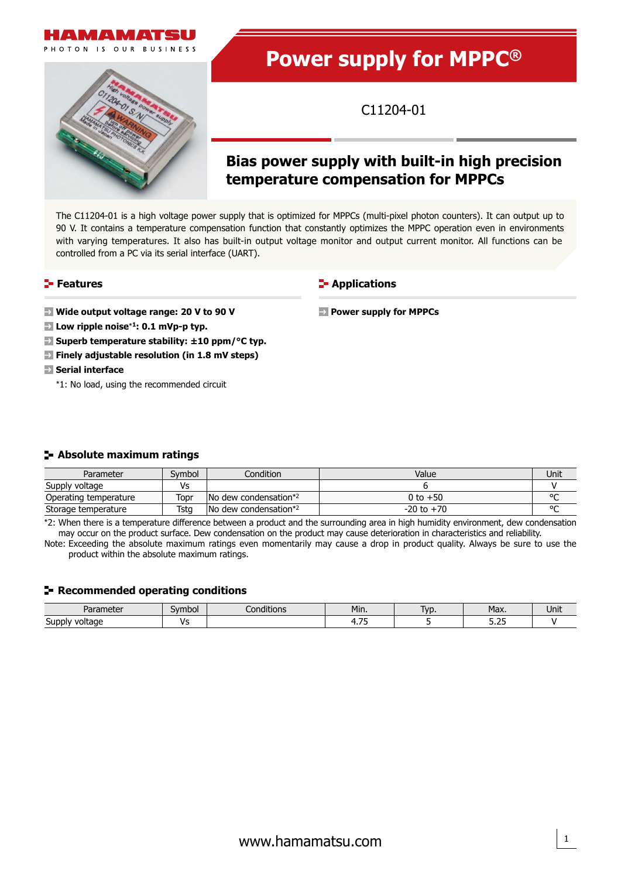





**Power supply for MPPC®**

C11204-01

# **Bias power supply with built-in high precision temperature compensation for MPPCs**

The C11204-01 is a high voltage power supply that is optimized for MPPCs (multi-pixel photon counters). It can output up to 90 V. It contains a temperature compensation function that constantly optimizes the MPPC operation even in environments with varying temperatures. It also has built-in output voltage monitor and output current monitor. All functions can be controlled from a PC via its serial interface (UART).

### **Features**

**Wide output voltage range: 20 V to 90 V**

- **Low ripple noise**\***1: 0.1 mVp-p typ.**
- **Superb temperature stability: ±10 ppm/°C typ.**
- **Finely adjustable resolution (in 1.8 mV steps)**
- **Serial interface** 
	- \*1: No load, using the recommended circuit

### **Absolute maximum ratings**

| Parameter             | Svmbol | Condition                                 | Value          | Unit   |
|-----------------------|--------|-------------------------------------------|----------------|--------|
| Supply voltage        | ٧s     |                                           |                |        |
| Operating temperature | Topr   | No dew condensation*2                     | 0 to $+50$     | $\sim$ |
| Storage temperature   | Tsta   | $\sqrt{N}$ dew condensation <sup>*2</sup> | $-20$ to $+70$ | $\sim$ |

\*2: When there is a temperature difference between a product and the surrounding area in high humidity environment, dew condensation may occur on the product surface. Dew condensation on the product may cause deterioration in characteristics and reliability.

Note: Exceeding the absolute maximum ratings even momentarily may cause a drop in product quality. Always be sure to use the product within the absolute maximum ratings.

### **Recommended operating conditions**

| D <sub>2</sub><br>alc<br>$\sim$ | Symbol | 1.11<br>conditions. | Min.     | lvr<br><b>VL</b> | Max.        | Unit |
|---------------------------------|--------|---------------------|----------|------------------|-------------|------|
| ∽<br>Supr<br>voltage<br>י טר    |        |                     | $-$<br>. |                  | - 25<br>--- |      |



**VIANA** PHOTON IS OUR BUSINESS





## **E-** Applications

**Power supply for MPPCs**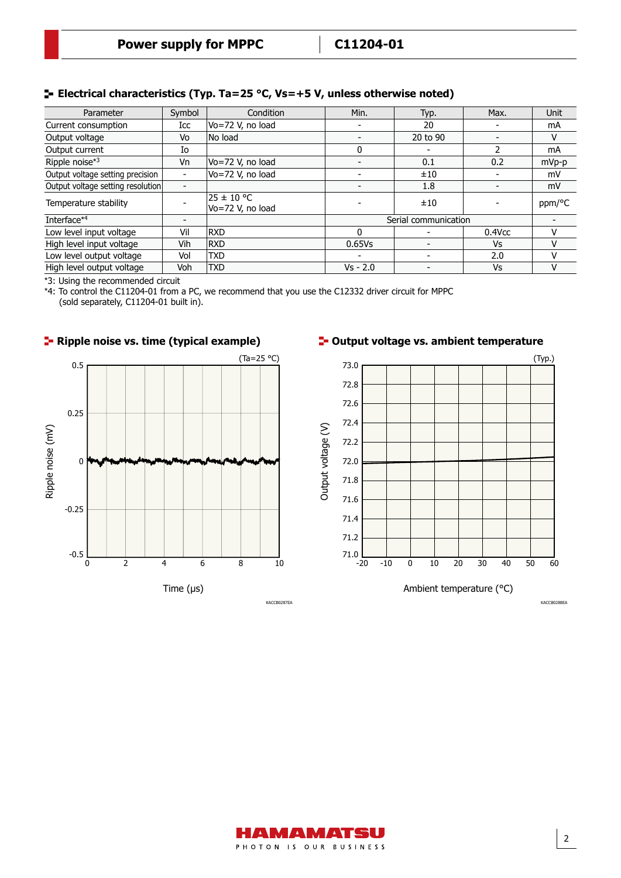### **Electrical characteristics (Typ. Ta=25 °C, Vs=+5 V, unless otherwise noted)**

| Parameter                         | Symbol                   | Condition                      | Min.                     | Typ.                     | Max.                     | <b>Unit</b> |
|-----------------------------------|--------------------------|--------------------------------|--------------------------|--------------------------|--------------------------|-------------|
| Current consumption               | Icc                      | $Vo = 72$ V, no load           | $\overline{\phantom{a}}$ | 20                       | $\blacksquare$           | mA          |
| Output voltage                    | Vo                       | No load                        |                          | 20 to 90                 | $\blacksquare$           | v           |
| Output current                    | Io                       |                                | 0                        |                          |                          | mA          |
| Ripple noise*3                    | Vn                       | Vo=72 V, no load               |                          | 0.1                      | 0.2                      | mVp-p       |
| Output voltage setting precision  | $\overline{\phantom{0}}$ | Vo=72 V, no load               |                          | ±10                      |                          | mV          |
| Output voltage setting resolution | $\overline{\phantom{0}}$ |                                |                          | 1.8                      | $\blacksquare$           | mV          |
| Temperature stability             |                          | 25 ± 10 °C<br>Vo=72 V, no load |                          | ±10                      | $\overline{\phantom{a}}$ | ppm/°C      |
| Interface*4                       |                          |                                | Serial communication     |                          |                          |             |
| Low level input voltage           | Vil                      | <b>RXD</b>                     | $\Omega$                 |                          | $0.4$ Vcc                | v           |
| High level input voltage          | Vih                      | <b>RXD</b>                     | 0.65Vs                   | $\overline{\phantom{0}}$ | Vs                       |             |
| Low level output voltage          | Vol                      | <b>TXD</b>                     | $\overline{\phantom{0}}$ | $\overline{\phantom{0}}$ | 2.0                      |             |
| High level output voltage         | Voh                      | <b>TXD</b>                     | $Vs - 2.0$               |                          | Vs                       | V           |

\*3: Using the recommended circuit

\*4: To control the C11204-01 from a PC, we recommend that you use the C12332 driver circuit for MPPC (sold separately, C11204-01 built in).







KACCB0288EA

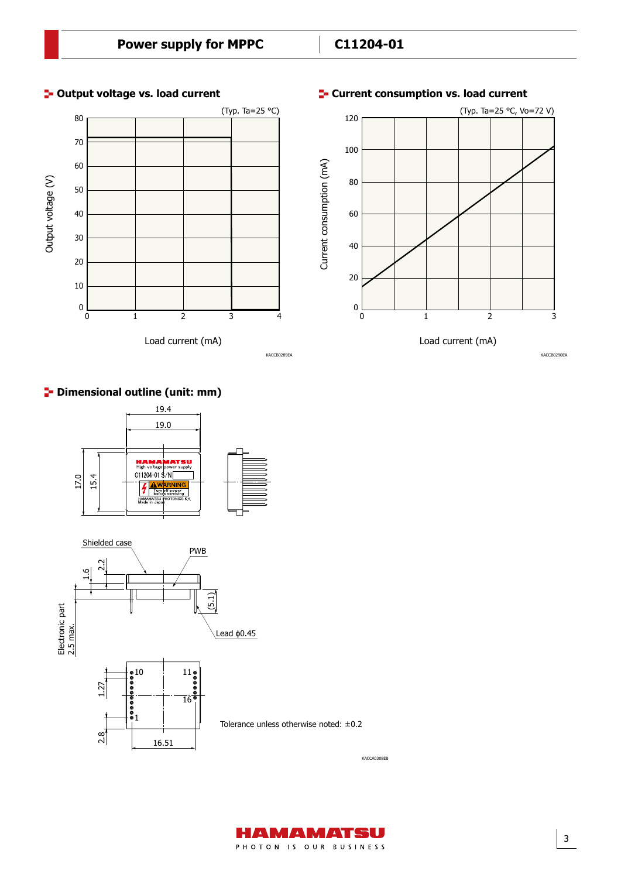**E-** Current consumption vs. load current



### **<sup>1</sup>** Output voltage vs. load current

### **P** Dimensional outline (unit: mm)





Tolerance unless otherwise noted: ±0.2

AMAMATSU PHOTON IS OUR BUSINESS



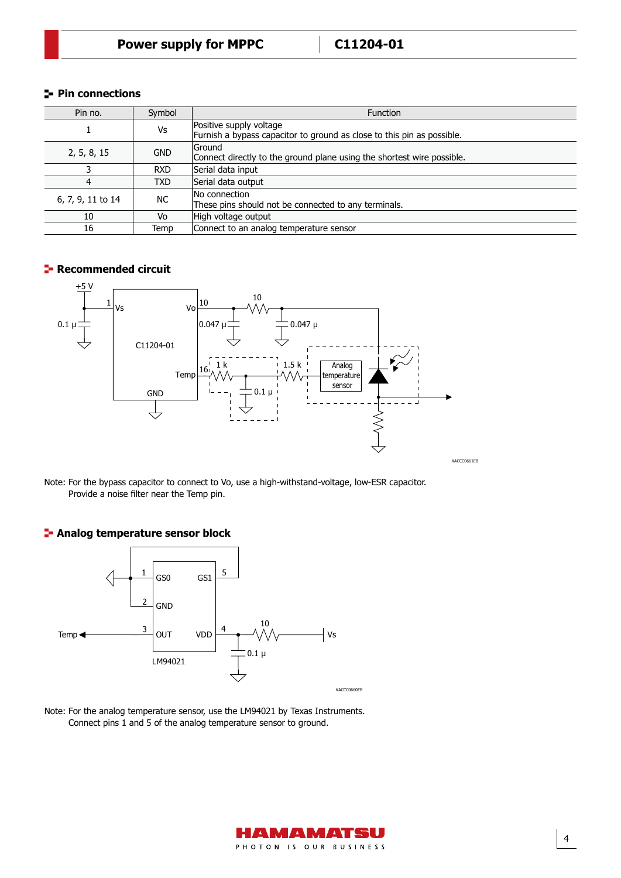### **Pin connections**

| Pin no.           | Symbol     | <b>Function</b>                                                                                   |
|-------------------|------------|---------------------------------------------------------------------------------------------------|
|                   | Vs         | Positive supply voltage<br>Furnish a bypass capacitor to ground as close to this pin as possible. |
| 2, 5, 8, 15       | <b>GND</b> | lGround<br>Connect directly to the ground plane using the shortest wire possible.                 |
| 3                 | <b>RXD</b> | Serial data input                                                                                 |
| 4                 | TXD        | Serial data output                                                                                |
| 6, 7, 9, 11 to 14 | NC.        | No connection<br>These pins should not be connected to any terminals.                             |
| 10                | Vo         | High voltage output                                                                               |
| 16                | Temp       | Connect to an analog temperature sensor                                                           |

### **F** Recommended circuit



Note: For the bypass capacitor to connect to Vo, use a high-withstand-voltage, low-ESR capacitor. Provide a noise filter near the Temp pin.

### **Analog temperature sensor block**



Note: For the analog temperature sensor, use the LM94021 by Texas Instruments. Connect pins 1 and 5 of the analog temperature sensor to ground.



4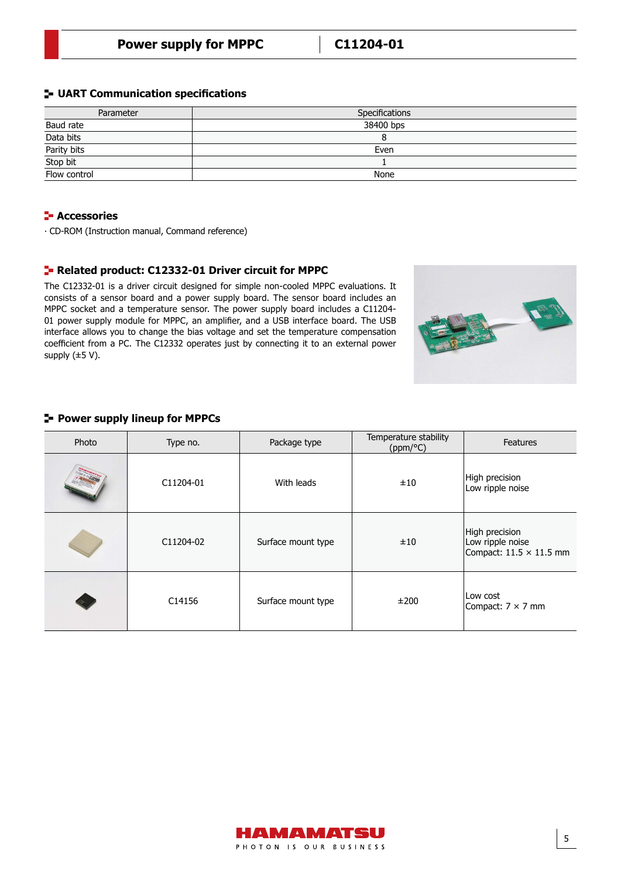#### **UART Communication specifications**

| Parameter                               | Specifications |
|-----------------------------------------|----------------|
| Baud rate                               | 38400 bps      |
| Data bits                               |                |
|                                         | Even           |
| Parity bits<br>Stop bit<br>Flow control |                |
|                                         | None           |

### **F** Accessories

∙ CD-ROM (Instruction manual, Command reference)

#### **Related product: C12332-01 Driver circuit for MPPC**

The C12332-01 is a driver circuit designed for simple non-cooled MPPC evaluations. It consists of a sensor board and a power supply board. The sensor board includes an MPPC socket and a temperature sensor. The power supply board includes a C11204- 01 power supply module for MPPC, an amplifier, and a USB interface board. The USB interface allows you to change the bias voltage and set the temperature compensation coefficient from a PC. The C12332 operates just by connecting it to an external power supply (±5 V).



### **Power supply lineup for MPPCs**

| Photo | Type no.  | Package type       | Temperature stability<br>(ppm/°C) | <b>Features</b>                                                      |
|-------|-----------|--------------------|-----------------------------------|----------------------------------------------------------------------|
|       | C11204-01 | With leads         | ±10                               | High precision<br>Low ripple noise                                   |
|       | C11204-02 | Surface mount type | ±10                               | High precision<br>Low ripple noise<br>Compact: $11.5 \times 11.5$ mm |
|       | C14156    | Surface mount type | ±200                              | Low cost<br>Compact: $7 \times 7$ mm                                 |